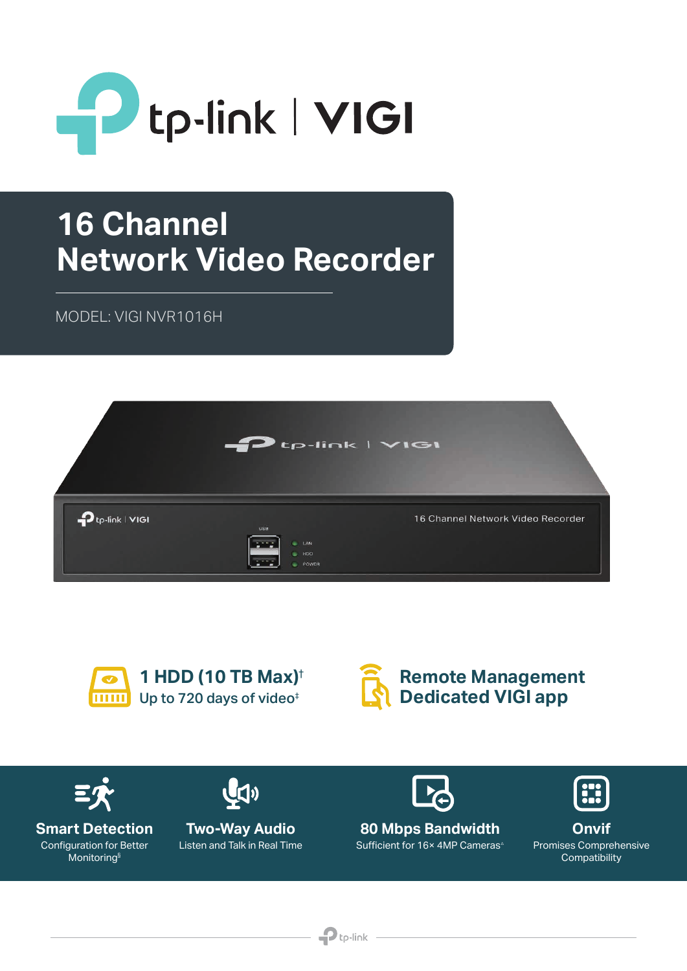

# **16 Channel Network Video Recorder**

MODEL: VIGI NVR1016H

| $\blacktriangleright$ tp-link   $\blacktriangleright$ lGI<br>$\rightarrow$ |                                                                        |                                   |
|----------------------------------------------------------------------------|------------------------------------------------------------------------|-----------------------------------|
| $\mathbf{p}_{\text{tp-link}}$   $\mathbf{v}$   $\mathbf{v}$                | <b>USB</b><br>LAN<br><b>STOP</b><br>$\blacksquare$ HDD<br><b>POWER</b> | 16 Channel Network Video Recorder |







 $\mathbf{P}$ tp-link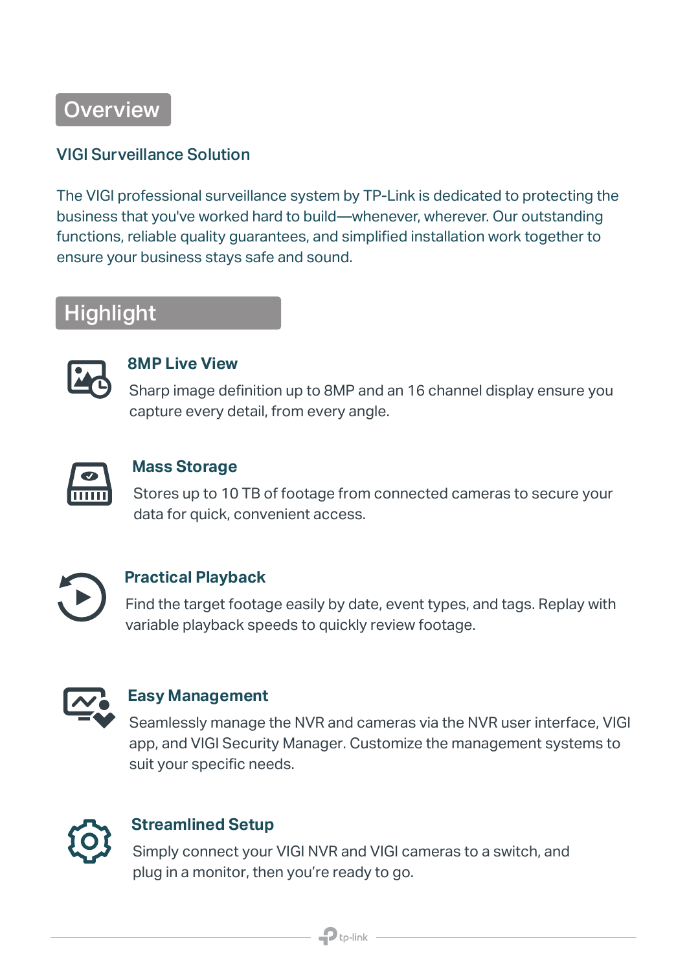**Overview** 

#### VIGI Surveillance Solution

The VIGI professional surveillance system by TP-Link is dedicated to protecting the business that you've worked hard to build—whenever, wherever. Our outstanding functions, reliable quality guarantees, and simplified installation work together to ensure your business stays safe and sound.

### Highlight



#### **8MP Live View**

Sharp image definition up to 8MP and an 16 channel display ensure you capture every detail, from every angle.



#### **Mass Storage**

Stores up to 10 TB of footage from connected cameras to secure your data for quick, convenient access.



#### **Practical Playback**

Find the target footage easily by date, event types, and tags. Replay with variable playback speeds to quickly review footage.



#### **Easy Management**

Seamlessly manage the NVR and cameras via the NVR user interface, VIGI app, and VIGI Security Manager. Customize the management systems to suit your specific needs.



#### **Streamlined Setup**

Simply connect your VIGI NVR and VIGI cameras to a switch, and plug in a monitor, then you're ready to go.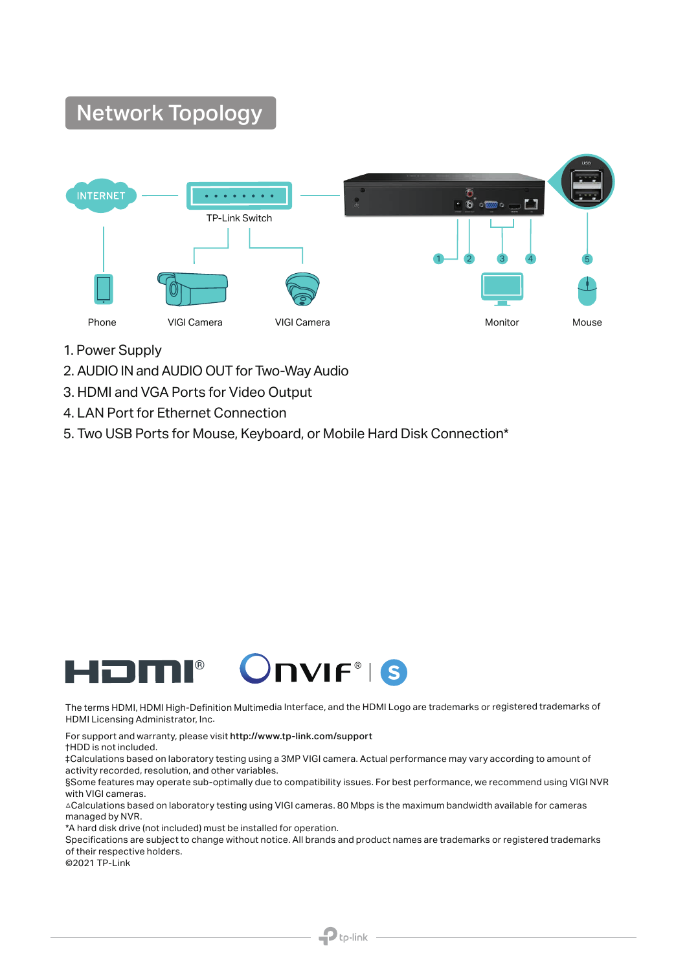## Network Topology



- 1. Power Supply
- 2. AUDIO IN and AUDIO OUT for Two-Way Audio
- 3. HDMI and VGA Ports for Video Output
- 4. LAN Port for Ethernet Connection
- 5. Two USB Ports for Mouse, Keyboard, or Mobile Hard Disk Connection\*



The terms HDMI, HDMI High-Definition Multimedia Interface, and the HDMI Logo are trademarks or registered trademarks of HDMI Licensing Administrator, Inc.

For support and warranty, please visit http://www.tp-link.com/support †HDD is not included.

‡Calculations based on laboratory testing using a 3MP VIGI camera. Actual performance may vary according to amount of activity recorded, resolution, and other variables.

§Some features may operate sub-optimally due to compatibility issues. For best performance, we recommend using VIGI NVR with VIGI cameras.

△Calculations based on laboratory testing using VIGI cameras. 80 Mbps is the maximum bandwidth available for cameras managed by NVR.

\*A hard disk drive (not included) must be installed for operation.

Specifications are subject to change without notice. All brands and product names are trademarks or registered trademarks of their respective holders.

 $\mathbf{P}$ tp-link

©2021 TP-Link